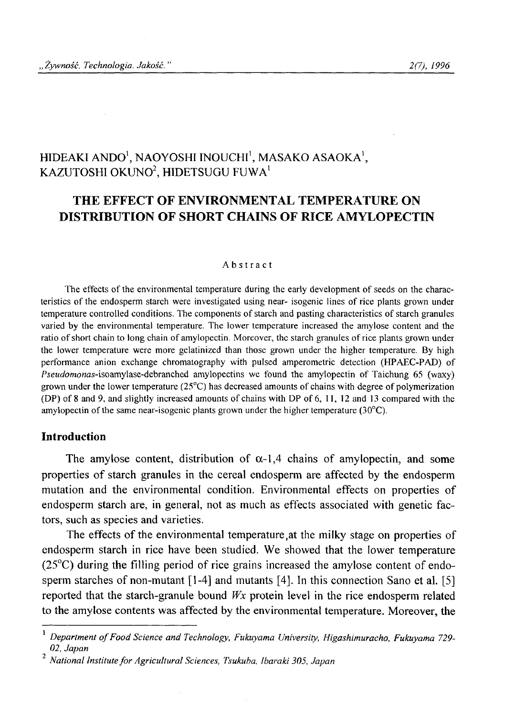# HIDEAKI ANDO<sup>1</sup>, NAOYOSHI INOUCHI<sup>1</sup>, MASAKO ASAOKA<sup>1</sup>, KAZUTOSHI OKUNO<sup>2</sup>, HIDETSUGU FUWA<sup>1</sup>

# **THE EFFECT OF ENVIRONMENTAL TEMPERATURE ON DISTRIBUTION OF SHORT CHAINS OF RICE AMYLOPECTIN**

#### **Abstract**

The effects of the environmental temperature during the early development of seeds on the characteristics of the endosperm starch were investigated using near- isogenic lines of rice plants grown under **temperature controlled conditions. The components of starch and pasting characteristics of starch granules varied by the environmental temperature. The lower temperature increased the amylose content and the** ratio of short chain to long chain of amylopectin. Moreover, the starch granules of rice plants grown under **the lower temperature were more gelatinized than those grown under the higher temperature. By high performance anion exchange chromatography with pulsed amperometric detection (HPAEC-PAD) of** *Pseudomonas***-isoamylase-debranched amylopectins we found the amylopectin of Taichung 65 (waxy)** grown under the lower temperature (25<sup>o</sup>C) has decreased amounts of chains with degree of polymerization **(DP) of** 8 **and 9, and slightly increased amounts o f chains with DP of** <sup>6</sup> **, 11, 12 and 13 compared with the** amylopectin of the same near-isogenic plants grown under the higher temperature  $(30^{\circ}C)$ .

### **Introduction**

The amylose content, distribution of  $\alpha$ -1,4 chains of amylopectin, and some properties of starch granules in the cereal endosperm are affected by the endosperm mutation and the environmental condition. Environmental effects on properties of endosperm starch are, in general, not as much as effects associated with genetic factors, such as species and varieties.

The effects of the environmental temperature,at the milky stage on properties of endosperm starch in rice have been studied. We showed that the lower temperature (25°C) during the filling period of rice grains increased the amylose content of endosperm starches of non-mutant  $[1-4]$  and mutants  $[4]$ . In this connection Sano et al. [5] reported that the starch-granule bound *Wx* protein level in the rice endosperm related to the amylose contents was affected by the environmental temperature. Moreover, the

Department of Food Science and Technology, Fukuyama University, Higashimuracho, Fukuyama 729-*02, Japan*

*<sup>-}</sup> ~ National Institute fo r Agricultural Sciences, Tsukuba, Ibaraki 305, Japan*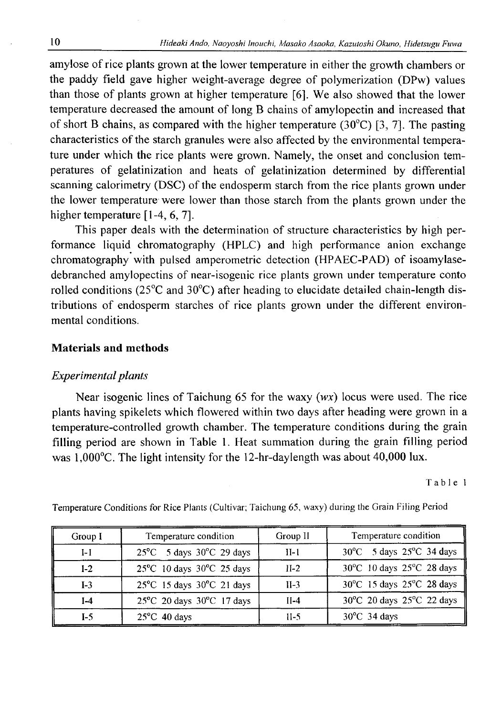amylose of rice plants grown at the lower temperature in either the growth chambers or the paddy field gave higher weight-average degree of polymerization (DPw) values than those of plants grown at higher temperature [6 ]. We also showed that the lower temperature decreased the amount of long B chains of amylopectin and increased that of short B chains, as compared with the higher temperature (30 $^{\circ}$ C) [3, 7]. The pasting characteristics of the starch granules were also affected by the environmental temperature under which the rice plants were grown. Namely, the onset and conclusion temperatures of gelatinization and heats of gelatinization determined by differential scanning calorimetry (DSC) of the endosperm starch from the rice plants grown under the lower temperature were lower than those starch from the plants grown under the higher temperature  $[1-4, 6, 7]$ .

This paper deals with the determination of structure characteristics by high performance liquid chromatography (HPLC) and high performance anion exchange chromatography with pulsed amperometric detection (HPAEC-PAD) of isoamylasedebranched amylopectins of near-isogenic rice plants grown under temperature conto rolled conditions (25°C and 30°C) after heading to elucidate detailed chain-length distributions of endosperm starches of rice plants grown under the different environmental conditions.

#### **Materials and methods**

### *Experimental plants*

Near isogenic lines of Taichung 65 for the waxy (*wx*) locus were used. The rice plants having spikelets which flowered within two days after heading were grown in a temperature-controlled growth chamber. The temperature conditions during the grain filling period are shown in Table 1. Heat summation during the grain filling period was 1,000°C. The light intensity for the 12-hr-daylength was about 40,000 lux.

Table 1

| Group I | Temperature condition                          | Group II | Temperature condition     |  |  |
|---------|------------------------------------------------|----------|---------------------------|--|--|
| $I-I$   | $25^{\circ}$ C 5 days 30 $^{\circ}$ C 29 days  | $II-1$   | 30°C 5 days 25°C 34 days  |  |  |
| $I-2$   | $25^{\circ}$ C 10 days 30 $^{\circ}$ C 25 days | $II-2$   | 30°C 10 days 25°C 28 days |  |  |
| $I-3$   | $25^{\circ}$ C 15 days $30^{\circ}$ C 21 days  | $II-3$   | 30°C 15 days 25°C 28 days |  |  |
| $I-4$   | 25°C 20 days 30°C 17 days                      | $II-4$   | 30°C 20 days 25°C 22 days |  |  |
| $I-5$   | $25^{\circ}$ C 40 days                         | $11-5$   | $30^{\circ}$ C 34 days    |  |  |

**Temperature Conditions for Rice Plants (Cultivar; Taichung 65, waxy) during the Grain Filing Period**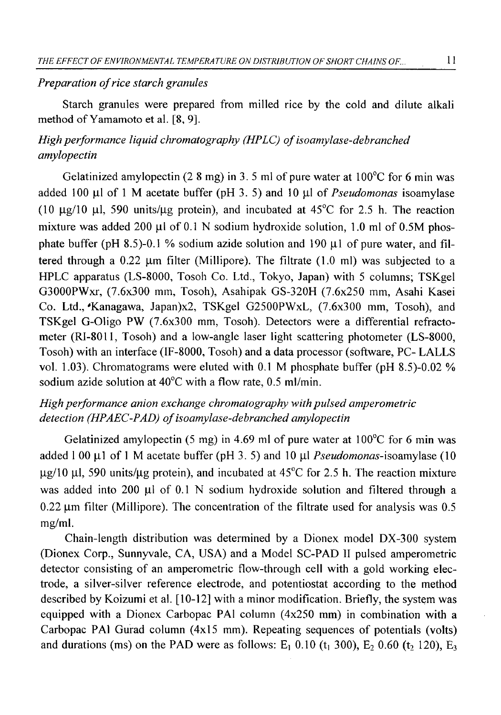#### *Preparation of rice starch granules*

Starch granules were prepared from milled rice by the cold and dilute alkali method of Yamamoto et al. [8, 9].

# *High performance liquid chromatography (HPLC) of isoamylase-debranched amylopectin*

Gelatinized amylopectin (2.8 mg) in 3.5 ml of pure water at  $100^{\circ}$ C for 6 min was added 100  $\mu$ l of 1 M acetate buffer (pH 3. 5) and 10  $\mu$ l of *Pseudomonas* isoamylase (10  $\mu$ g/10  $\mu$ l, 590 units/ $\mu$ g protein), and incubated at 45°C for 2.5 h. The reaction mixture was added 200  $\mu$ l of 0.1 N sodium hydroxide solution, 1.0 ml of 0.5M phosphate buffer (pH 8.5)-0.1 % sodium azide solution and 190  $\mu$ 1 of pure water, and filtered through a  $0.22$  µm filter (Millipore). The filtrate  $(1.0 \text{ ml})$  was subjected to a HPLC apparatus (LS-8000, Tosoh Co. Ltd., Tokyo, Japan) with 5 columns; TSKgel G3000PWxr, (7.6x300 mm, Tosoh), Asahipak GS-320H (7.6x250 mm, Asahi Kasei Co. Ltd., 'Kanagawa, Japan)x2, TSKgel G2500PWxL, (7.6x300 mm, Tosoh), and TSKgel G-Oligo PW (7.6x300 mm, Tosoh). Detectors were a differential refractometer (RI-8011, Tosoh) and a low-angle laser light scattering photometer (LS-8000, Tosoh) with an interface (IF-8000, Tosoh) and a data processor (software, PC- LALLS vol. 1.03). Chromatograms were eluted with 0.1 M phosphate buffer (pH 8.5)-0.02 % sodium azide solution at 40°C with a flow rate, 0.5 ml/min.

### *High performance anion exchange chromatography with pulsed amperometric* detection (HPAEC-PAD) of isoamylase-debranched amylopectin

Gelatinized amylopectin  $(5 \text{ mg})$  in 4.69 ml of pure water at 100<sup>o</sup>C for 6 min was added 1 00  $\mu$ 1 of 1 M acetate buffer (pH 3. 5) and 10  $\mu$ l *Pseudomonas*-isoamylase (10  $\mu$ g/10  $\mu$ l, 590 units/ $\mu$ g protein), and incubated at 45<sup>o</sup>C for 2.5 h. The reaction mixture was added into 200  $\mu$ l of 0.1 N sodium hydroxide solution and filtered through a  $0.22 \mu$ m filter (Millipore). The concentration of the filtrate used for analysis was 0.5 mg/ml.

Chain-length distribution was determined by a Dionex model DX-300 system (Dionex Corp., Sunnyvale, CA, USA) and a Model SC-PAD II pulsed amperometric detector consisting of an amperometric flow-through cell with a gold working electrode, a silver-silver reference electrode, and potentiostat according to the method described by Koizumi et al. [10-12] with a minor modification. Briefly, the system was equipped with a Dionex Carbopac PA1 column (4x250 mm) in combination with a Carbopac PA1 Gurad column (4x15 mm). Repeating sequences of potentials (volts) and durations (ms) on the PAD were as follows:  $E_1$  0.10 (t<sub>1</sub> 300),  $E_2$  0.60 (t<sub>2</sub> 120),  $E_3$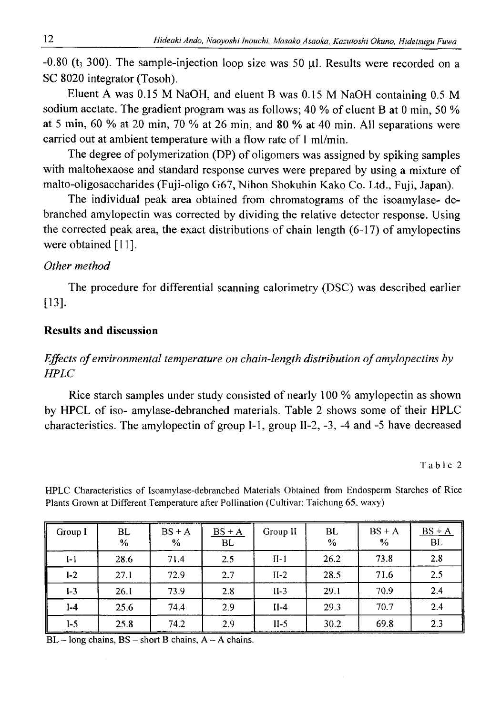-0.80 ( $t_3$  300). The sample-injection loop size was 50  $\mu$ l. Results were recorded on a SC 8020 integrator (Tosoh).

Eluent A was 0.15 M NaOH, and eluent B was 0.15 M NaOH containing 0.5 M sodium acetate. The gradient program was as follows; 40 % of eluent B at 0 min, 50 *%* at 5 min, 60 % at 20 min, 70 % at 26 min, and 80 % at 40 min. All separations were carried out at ambient temperature with a flow rate of 1 ml/min.

The degree of polymerization (DP) of oligomers was assigned by spiking samples with maltohexaose and standard response curves were prepared by using a mixture of malto-oligosaccharides (Fuji-oligo G67, Nihon Shokuhin Kako Co. Ltd., Fuji, Japan).

The individual peak area obtained from chromatograms of the isoamylase- debranched amylopectin was corrected by dividing the relative detector response. Using the corrected peak area, the exact distributions of chain length (6-17) of amylopectins were obtained [11].

### *Other method*

The procedure for differential scanning calorimetry (DSC) was described earlier [13].

### **Results and discussion**

## *Effects of environmental temperature on chain-length distribution of amylopectins by HPLC*

Rice starch samples under study consisted of nearly 100 % amylopectin as shown by HPCL of iso- amylase-debranched materials. Table 2 shows some of their HPLC characteristics. The amylopectin of group 1-1, group II-2, -3, -4 and -5 have decreased

#### Table 2

| Group I | BL<br>% | $BS + A$<br>$\%$ | $BS + A$<br><b>BL</b> | Group II | <b>BL</b><br>$\frac{0}{0}$ | $BS + A$<br>% | $BS + A$<br>BL |
|---------|---------|------------------|-----------------------|----------|----------------------------|---------------|----------------|
| $I-1$   | 28.6    | 71.4             | 2.5                   | $II-1$   | 26.2                       | 73.8          | 2.8            |
| $1-2$   | 27.1    | 72.9             | 2.7                   | $II-2$   | 28.5                       | 71.6          | 2.5            |
| $I-3$   | 26.I    | 73.9             | 2.8                   | $II-3$   | 29.1                       | 70.9          | 2.4            |
| $I-4$   | 25.6    | 74.4             | 2.9                   | $II-4$   | 29.3                       | 70.7          | 2.4            |
| $I-5$   | 25.8    | 74.2             | 2.9                   | $II-5$   | 30.2                       | 69.8          | 2.3            |

HPLC Characteristics of Isoamylase-debranched Materials Obtained from Endosperm Starches of Rice **Plants Grown at Different Temperature after Pollination (Cultivar; Taichung 65, waxy)**

**BL - long chains, BS - short B chains, A - A chains.**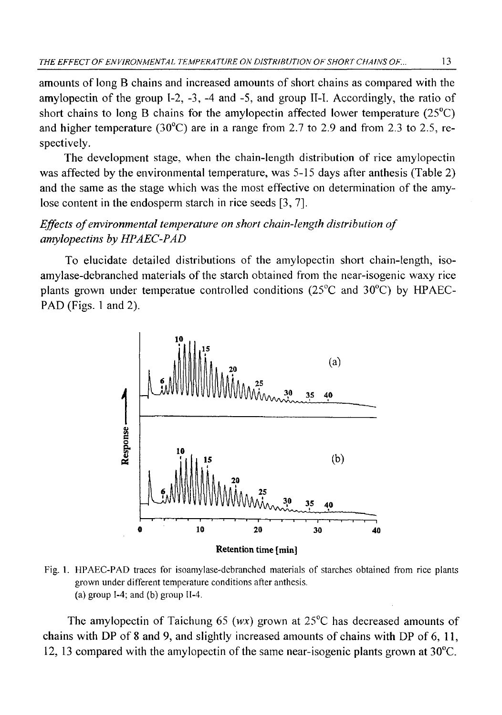amounts of long B chains and increased amounts of short chains as compared with the amylopectin of the group  $I-2$ ,  $-3$ ,  $-4$  and  $-5$ , and group II-I. Accordingly, the ratio of short chains to long B chains for the amylopectin affected lower temperature (25°C) and higher temperature ( $30^{\circ}$ C) are in a range from 2.7 to 2.9 and from 2.3 to 2.5, respectively.

The development stage, when the chain-length distribution of rice amylopectin was affected by the environmental temperature, was 5-15 days after anthesis (Table 2) and the same as the stage which was the most effective on determination of the amylose content in the endosperm starch in rice seeds [3, 7].

## *Effects of environmental temperature on short chain-length distribution of amylopectins by HPAEC-PAD*

To elucidate detailed distributions of the amylopectin short chain-length, isoamylase-debranched materials of the starch obtained from the near-isogenic waxy rice plants grown under temperatue controlled conditions (25°C and 30°C) by HPAEC-PAD (Figs. 1 and 2).



**Fig. 1. HPAEC-PAD traces for isoamylase-debranched materials of starches obtained from rice plants grown under different temperature conditions after anthesis. (a) group 1-4; and (b) group 11-4.**

The amylopectin of Taichung 65 (wx) grown at  $25^{\circ}$ C has decreased amounts of chains with DP of 8 and 9, and slightly increased amounts of chains with DP of 6 , 11, 12, 13 compared with the amylopectin of the same near-isogenic plants grown at 30°C.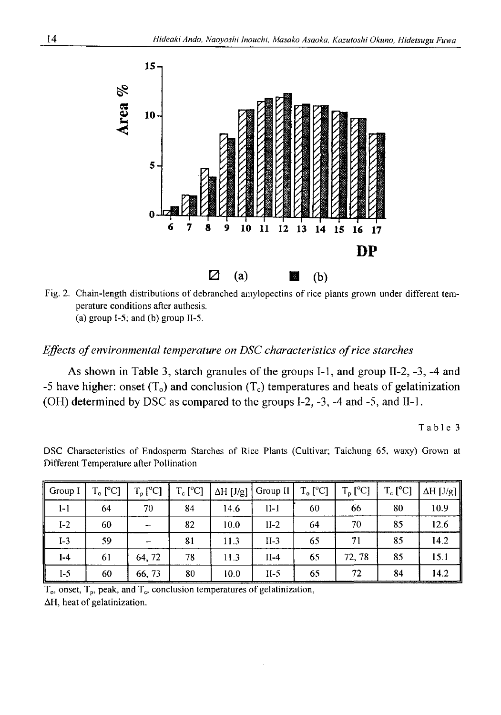

**Fig. 2. Chain-length distributions of debranched amylopectins of rice plants grown under different temperature conditions after authesis. (a) group 1-5; and (b) group II-5.**

### *Effects of environmental temperature on DSC characteristics of rice starches*

As shown in Table 3, starch granules of the groups 1-1, and group II-2, -3, -4 and -5 have higher: onset  $(T_0)$  and conclusion  $(T_c)$  temperatures and heats of gelatinization (OH) determined by DSC as compared to the groups 1-2, -3, -4 and -5, and II-l.

**Table 3**

| Group I | $T_o$ [ $^{\circ}$ C] | $T_p$ [ <sup>o</sup> C] | $T_c$ [ <sup>o</sup> C] | $\Delta H$ [J/g] | Group II | $T_o$ [ <sup>o</sup> C] | $T_p$ [ $^{\circ}$ C] | $T_c$ [ <sup>o</sup> C] | $\Delta H$ [J/g] |
|---------|-----------------------|-------------------------|-------------------------|------------------|----------|-------------------------|-----------------------|-------------------------|------------------|
| $I-1$   | 64                    | 70                      | 84                      | 14.6             | $II-1$   | 60                      | 66                    | 80                      | 10.9             |
| $I-2$   | 60                    |                         | 82                      | 10.0             | $1I-2$   | 64                      | 70                    | 85                      | 12.6             |
| $I-3$   | 59                    |                         | 81                      | 11.3             | $II-3$   | 65                      | 71                    | 85                      | 14.2             |
| $I-4$   | 61                    | 64, 72                  | 78                      | 11.3             | $II-4$   | 65                      | 72.78                 | 85                      | 15.1             |
| I-5     | 60                    | 66,73                   | 80                      | 10.0             | $II-5$   | 65                      | 72                    | 84                      | 14.2             |

DSC Characteristics of Endosperm Starches of Rice Plants (Cultivar; Taichung 65, waxy) Grown at **Different Temperature after Pollination**

T<sub>o</sub>, onset, T<sub>p</sub>, peak, and T<sub>c</sub>, conclusion temperatures of gelatinization,  $\Delta H$ , heat of gelatinization.